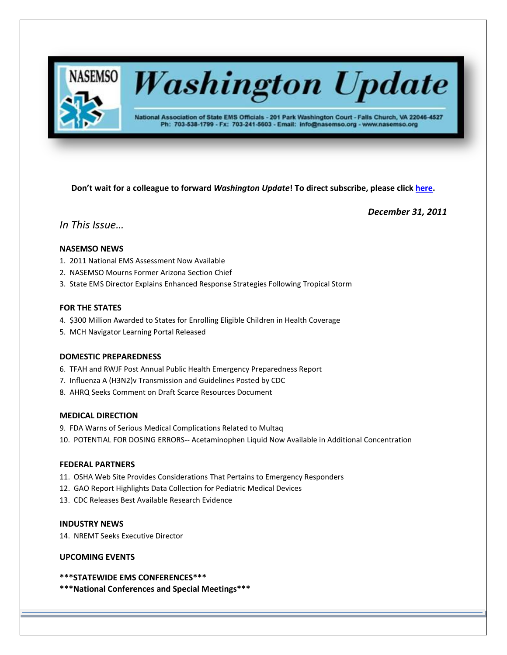

# **Washington Update**

National Association of State EMS Officials - 201 Park Washington Court - Falls Church, VA 22046-4527 Ph: 703-538-1799 - Fx: 703-241-5603 - Email: info@nasemso.org - www.nasemso.org

**Don't wait for a colleague to forward** *Washington Update***! To direct subscribe, please click [here.](http://lists.nasemso.org/read/all_forums/subscribe?name=wu%20)**

*December 31, 2011*

*In This Issue…*

## **NASEMSO NEWS**

- 1. 2011 National EMS Assessment Now Available
- 2. NASEMSO Mourns Former Arizona Section Chief
- 3. State EMS Director Explains Enhanced Response Strategies Following Tropical Storm

## **FOR THE STATES**

- 4. \$300 Million Awarded to States for Enrolling Eligible Children in Health Coverage
- 5. MCH Navigator Learning Portal Released

## **DOMESTIC PREPAREDNESS**

- 6. TFAH and RWJF Post Annual Public Health Emergency Preparedness Report
- 7. Influenza A (H3N2)v Transmission and Guidelines Posted by CDC
- 8. AHRQ Seeks Comment on Draft Scarce Resources Document

## **MEDICAL DIRECTION**

- 9. FDA Warns of Serious Medical Complications Related to Multaq
- 10. POTENTIAL FOR DOSING ERRORS-- Acetaminophen Liquid Now Available in Additional Concentration

## **FEDERAL PARTNERS**

- 11. OSHA Web Site Provides Considerations That Pertains to Emergency Responders
- 12. GAO Report Highlights Data Collection for Pediatric Medical Devices
- 13. CDC Releases Best Available Research Evidence

## **INDUSTRY NEWS**

14. NREMT Seeks Executive Director

## **UPCOMING EVENTS**

- **\*\*\*STATEWIDE EMS CONFERENCES\*\*\***
- **\*\*\*National Conferences and Special Meetings\*\*\***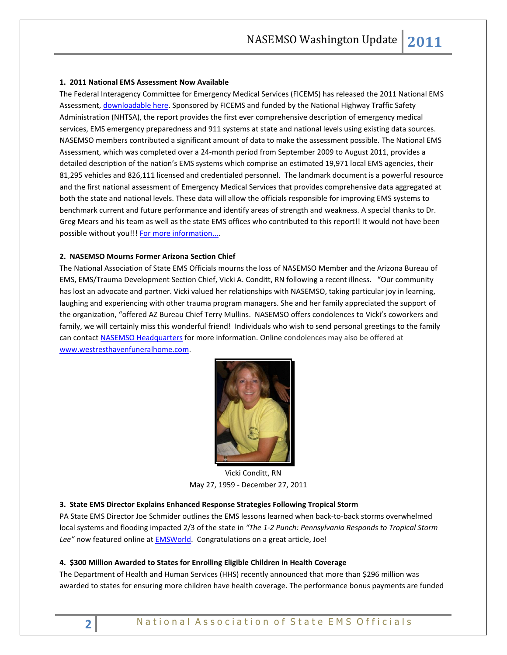### **1. 2011 National EMS Assessment Now Available**

The Federal Interagency Committee for Emergency Medical Services (FICEMS) has released the 2011 National EMS Assessment[, downloadable here.](http://www.nasemso.org/documents/National_EMS_Assessment_Final_Draft_12202011.pdf) Sponsored by FICEMS and funded by the National Highway Traffic Safety Administration (NHTSA), the report provides the first ever comprehensive description of emergency medical services, EMS emergency preparedness and 911 systems at state and national levels using existing data sources. NASEMSO members contributed a significant amount of data to make the assessment possible. The National EMS Assessment, which was completed over a 24-month period from September 2009 to August 2011, provides a detailed description of the nation's EMS systems which comprise an estimated 19,971 local EMS agencies, their 81,295 vehicles and 826,111 licensed and credentialed personnel. The landmark document is a powerful resource and the first national assessment of Emergency Medical Services that provides comprehensive data aggregated at both the state and national levels. These data will allow the officials responsible for improving EMS systems to benchmark current and future performance and identify areas of strength and weakness. A special thanks to Dr. Greg Mears and his team as well as the state EMS offices who contributed to this report!! It would not have been possible without you!![! For more information....](http://www.ems.gov/news/assessment.html)

#### **2. NASEMSO Mourns Former Arizona Section Chief**

The National Association of State EMS Officials mourns the loss of NASEMSO Member and the Arizona Bureau of EMS, EMS/Trauma Development Section Chief, Vicki A. Conditt, RN following a recent illness. "Our community has lost an advocate and partner. Vicki valued her relationships with NASEMSO, taking particular joy in learning, laughing and experiencing with other trauma program managers. She and her family appreciated the support of the organization, "offered AZ Bureau Chief Terry Mullins. NASEMSO offers condolences to Vicki's coworkers and family, we will certainly miss this wonderful friend! Individuals who wish to send personal greetings to the family can contac[t NASEMSO Headquarters](mailto:info@nasemso.org) for more information. Online condolences may also be offered at [www.westresthavenfuneralhome.com.](http://www.westresthavenfuneralhome.com/) 



Vicki Conditt, RN May 27, 1959 - December 27, 2011

#### **3. State EMS Director Explains Enhanced Response Strategies Following Tropical Storm**

PA State EMS Director Joe Schmider outlines the EMS lessons learned when back-to-back storms overwhelmed local systems and flooding impacted 2/3 of the state in *"The 1-2 Punch: Pennsylvania Responds to Tropical Storm*  Lee" now featured online at **EMSWorld**. Congratulations on a great article, Joe!

#### **4. \$300 Million Awarded to States for Enrolling Eligible Children in Health Coverage**

The Department of Health and Human Services (HHS) recently announced that more than \$296 million was awarded to states for ensuring more children have health coverage. The performance bonus payments are funded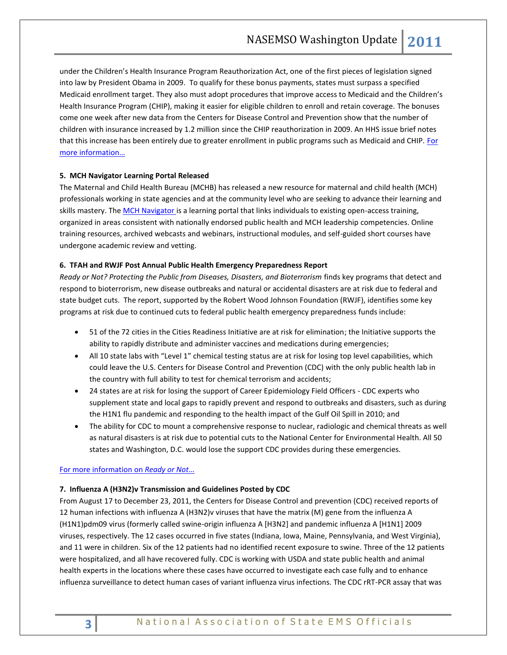under the Children's Health Insurance Program Reauthorization Act, one of the first pieces of legislation signed into law by President Obama in 2009. To qualify for these bonus payments, states must surpass a specified Medicaid enrollment target. They also must adopt procedures that improve access to Medicaid and the Children's Health Insurance Program (CHIP), making it easier for eligible children to enroll and retain coverage. The bonuses come one week after new data from the Centers for Disease Control and Prevention show that the number of children with insurance increased by 1.2 million since the CHIP reauthorization in 2009. An HHS issue brief notes that this increase has been entirely due to greater enrollment in public programs such as Medicaid and CHIP. For [more information](http://www.hhs.gov/news/press/2011pres/12/20111228a.html)…

#### **5. MCH Navigator Learning Portal Released**

The Maternal and Child Health Bureau (MCHB) has released a new resource for maternal and child health (MCH) professionals working in state agencies and at the community level who are seeking to advance their learning and skills mastery. The [MCH Navigator i](http://navigator.mchtraining.net/)s a learning portal that links individuals to existing open-access training, organized in areas consistent with nationally endorsed public health and MCH leadership competencies. Online training resources, archived webcasts and webinars, instructional modules, and self-guided short courses have undergone academic review and vetting.

#### **6. TFAH and RWJF Post Annual Public Health Emergency Preparedness Report**

*Ready or Not? Protecting the Public from Diseases, Disasters, and Bioterrorism* finds key programs that detect and respond to bioterrorism, new disease outbreaks and natural or accidental disasters are at risk due to federal and state budget cuts. The report, supported by the Robert Wood Johnson Foundation (RWJF), identifies some key programs at risk due to continued cuts to federal public health emergency preparedness funds include:

- 51 of the 72 cities in the Cities Readiness Initiative are at risk for elimination; the Initiative supports the ability to rapidly distribute and administer vaccines and medications during emergencies;
- All 10 state labs with "Level 1" chemical testing status are at risk for losing top level capabilities, which could leave the U.S. Centers for Disease Control and Prevention (CDC) with the only public health lab in the country with full ability to test for chemical terrorism and accidents;
- 24 states are at risk for losing the support of Career Epidemiology Field Officers CDC experts who supplement state and local gaps to rapidly prevent and respond to outbreaks and disasters, such as during the H1N1 flu pandemic and responding to the health impact of the Gulf Oil Spill in 2010; and
- The ability for CDC to mount a comprehensive response to nuclear, radiologic and chemical threats as well as natural disasters is at risk due to potential cuts to the National Center for Environmental Health. All 50 states and Washington, D.C. would lose the support CDC provides during these emergencies.

#### [For more information](http://www.healthyamericans.org/report/92/) on *Ready or Not*…

## **7. Influenza A (H3N2)v Transmission and Guidelines Posted by CDC**

From August 17 to December 23, 2011, the Centers for Disease Control and prevention (CDC) received reports of 12 human infections with influenza A (H3N2)v viruses that have the matrix (M) gene from the influenza A (H1N1)pdm09 virus (formerly called swine-origin influenza A [H3N2] and pandemic influenza A [H1N1] 2009 viruses, respectively. The 12 cases occurred in five states (Indiana, Iowa, Maine, Pennsylvania, and West Virginia), and 11 were in children. Six of the 12 patients had no identified recent exposure to swine. Three of the 12 patients were hospitalized, and all have recovered fully. CDC is working with USDA and state public health and animal health experts in the locations where these cases have occurred to investigate each case fully and to enhance influenza surveillance to detect human cases of variant influenza virus infections. The CDC rRT-PCR assay that was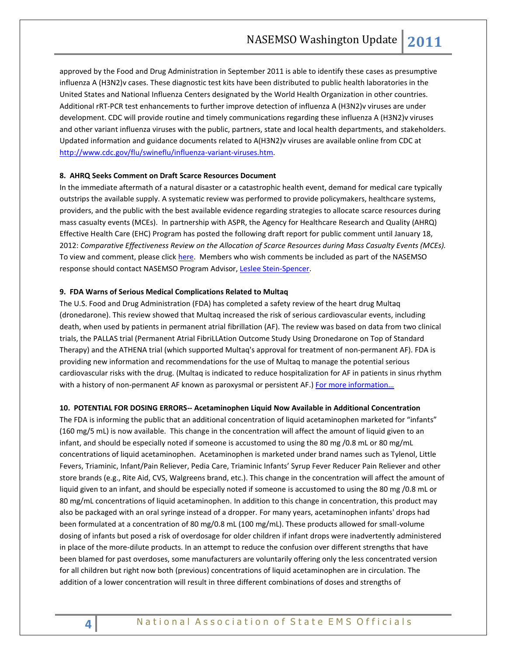approved by the Food and Drug Administration in September 2011 is able to identify these cases as presumptive influenza A (H3N2)v cases. These diagnostic test kits have been distributed to public health laboratories in the United States and National Influenza Centers designated by the World Health Organization in other countries. Additional rRT-PCR test enhancements to further improve detection of influenza A (H3N2)v viruses are under development. CDC will provide routine and timely communications regarding these influenza A (H3N2)v viruses and other variant influenza viruses with the public, partners, state and local health departments, and stakeholders. Updated information and guidance documents related to A(H3N2)v viruses are available online from CDC at [http://www.cdc.gov/flu/swineflu/influenza-variant-viruses.htm.](http://www.cdc.gov/flu/swineflu/influenza-variant-viruses.htm)

### **8. AHRQ Seeks Comment on Draft Scarce Resources Document**

In the immediate aftermath of a natural disaster or a catastrophic health event, demand for medical care typically outstrips the available supply. A systematic review was performed to provide policymakers, healthcare systems, providers, and the public with the best available evidence regarding strategies to allocate scarce resources during mass casualty events (MCEs). In partnership with ASPR, the Agency for Healthcare Research and Quality (AHRQ) Effective Health Care (EHC) Program has posted the following draft report for public comment until January 18, 2012: *Comparative Effectiveness Review on the Allocation of Scarce Resources during Mass Casualty Events (MCEs).*  To view and comment, please click [here.](http://www.effectivehealthcare.ahrq.gov/index.cfm/research-available-for-comment/comment-draft-reports/?pageaction=displayDraftCommentForm&topicid=400&productID=909) Members who wish comments be included as part of the NASEMSO response should contact NASEMSO Program Advisor[, Leslee Stein-Spencer.](mailto:Stein-Spencer@nasemso.org)

#### **9. FDA Warns of Serious Medical Complications Related to Multaq**

The U.S. Food and Drug Administration (FDA) has completed a safety review of the heart drug Multaq (dronedarone). This review showed that Multaq increased the risk of serious cardiovascular events, including death, when used by patients in permanent atrial fibrillation (AF). The review was based on data from two clinical trials, the PALLAS trial (Permanent Atrial FibriLLAtion Outcome Study Using Dronedarone on Top of Standard Therapy) and the ATHENA trial (which supported Multaq's approval for treatment of non-permanent AF). FDA is providing new information and recommendations for the use of Multaq to manage the potential serious cardiovascular risks with the drug. (Multaq is indicated to reduce hospitalization for AF in patients in sinus rhythm with a history of non-permanent AF known as paroxysmal or persistent AF.) For more information...

#### **10. POTENTIAL FOR DOSING ERRORS-- Acetaminophen Liquid Now Available in Additional Concentration**

The FDA is informing the public that an additional concentration of liquid acetaminophen marketed for "infants" (160 mg/5 mL) is now available. This change in the concentration will affect the amount of liquid given to an infant, and should be especially noted if someone is accustomed to using the 80 mg /0.8 mL or 80 mg/mL concentrations of liquid acetaminophen. Acetaminophen is marketed under brand names such as Tylenol, Little Fevers, Triaminic, Infant/Pain Reliever, Pedia Care, Triaminic Infants' Syrup Fever Reducer Pain Reliever and other store brands (e.g., Rite Aid, CVS, Walgreens brand, etc.). This change in the concentration will affect the amount of liquid given to an infant, and should be especially noted if someone is accustomed to using the 80 mg /0.8 mL or 80 mg/mL concentrations of liquid acetaminophen. In addition to this change in concentration, this product may also be packaged with an oral syringe instead of a dropper. For many years, acetaminophen infants' drops had been formulated at a concentration of 80 mg/0.8 mL (100 mg/mL). These products allowed for small-volume dosing of infants but posed a risk of overdosage for older children if infant drops were inadvertently administered in place of the more-dilute products. In an attempt to reduce the confusion over different strengths that have been blamed for past overdoses, some manufacturers are voluntarily offering only the less concentrated version for all children but right now both (previous) concentrations of liquid acetaminophen are in circulation. The addition of a lower concentration will result in three different combinations of doses and strengths of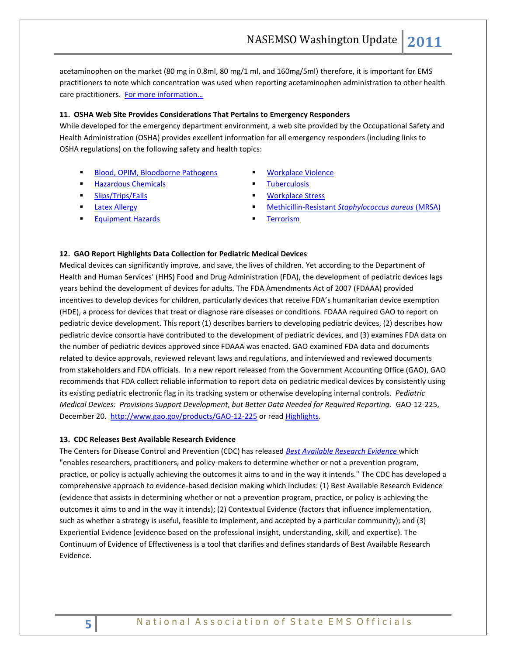acetaminophen on the market (80 mg in 0.8ml, 80 mg/1 ml, and 160mg/5ml) therefore, it is important for EMS practitioners to note which concentration was used when reporting acetaminophen administration to other health care practitioners. For more information...

#### **11. OSHA Web Site Provides Considerations That Pertains to Emergency Responders**

While developed for the emergency department environment, a web site provided by the Occupational Safety and Health Administration (OSHA) provides excellent information for all emergency responders (including links to OSHA regulations) on the following safety and health topics:

- [Blood, OPIM, Bloodborne Pathogens](http://www.osha.gov/SLTC/etools/hospital/er/er.html#bloodbornepathogens)
- [Hazardous Chemicals](http://www.osha.gov/SLTC/etools/hospital/er/er.html#hazardouschemicals)
- [Slips/Trips/Falls](http://www.osha.gov/SLTC/etools/hospital/er/er.html#slipsfalls)
- **[Latex Allergy](http://www.osha.gov/SLTC/etools/hospital/er/er.html#latexallergy)**
- [Equipment Hazards](http://www.osha.gov/SLTC/etools/hospital/er/er.html#equipmenthazards)
- [Workplace Violence](http://www.osha.gov/SLTC/etools/hospital/er/er.html#workplaceviolence)
- **[Tuberculosis](http://www.osha.gov/SLTC/etools/hospital/er/er.html#tuberculosis)**
- **[Workplace Stress](http://www.osha.gov/SLTC/etools/hospital/er/er.html#workplacestress)**
- Methicillin-Resistant *[Staphylococcus aureus](http://www.osha.gov/SLTC/etools/hospital/er/er.html#mrsa)* (MRSA)
- **[Terrorism](http://www.osha.gov/SLTC/etools/hospital/er/er.html#terrorism)**

#### **12. GAO Report Highlights Data Collection for Pediatric Medical Devices**

Medical devices can significantly improve, and save, the lives of children. Yet according to the Department of Health and Human Services' (HHS) Food and Drug Administration (FDA), the development of pediatric devices lags years behind the development of devices for adults. The FDA Amendments Act of 2007 (FDAAA) provided incentives to develop devices for children, particularly devices that receive FDA's humanitarian device exemption (HDE), a process for devices that treat or diagnose rare diseases or conditions. FDAAA required GAO to report on pediatric device development. This report (1) describes barriers to developing pediatric devices, (2) describes how pediatric device consortia have contributed to the development of pediatric devices, and (3) examines FDA data on the number of pediatric devices approved since FDAAA was enacted. GAO examined FDA data and documents related to device approvals, reviewed relevant laws and regulations, and interviewed and reviewed documents from stakeholders and FDA officials. In a new report released from the Government Accounting Office (GAO), GAO recommends that FDA collect reliable information to report data on pediatric medical devices by consistently using its existing pediatric electronic flag in its tracking system or otherwise developing internal controls. *Pediatric Medical Devices: Provisions Support Development, but Better Data Needed for Required Reporting.* GAO-12-225, December 20.<http://www.gao.gov/products/GAO-12-225> or read [Highlights.](http://www.gao.gov/assets/590/587163.pdf)

#### **13. CDC Releases Best Available Research Evidence**

The Centers for Disease Control and Prevention (CDC) has released *[Best Available Research Evidence](http://www.cdc.gov/violenceprevention/pub/UnderstandingEvidence_prt1.html)* which "enables researchers, practitioners, and policy-makers to determine whether or not a prevention program, practice, or policy is actually achieving the outcomes it aims to and in the way it intends." The CDC has developed a comprehensive approach to evidence-based decision making which includes: (1) Best Available Research Evidence (evidence that assists in determining whether or not a prevention program, practice, or policy is achieving the outcomes it aims to and in the way it intends); (2) Contextual Evidence (factors that influence implementation, such as whether a strategy is useful, feasible to implement, and accepted by a particular community); and (3) Experiential Evidence (evidence based on the professional insight, understanding, skill, and expertise). The Continuum of Evidence of Effectiveness is a tool that clarifies and defines standards of Best Available Research Evidence.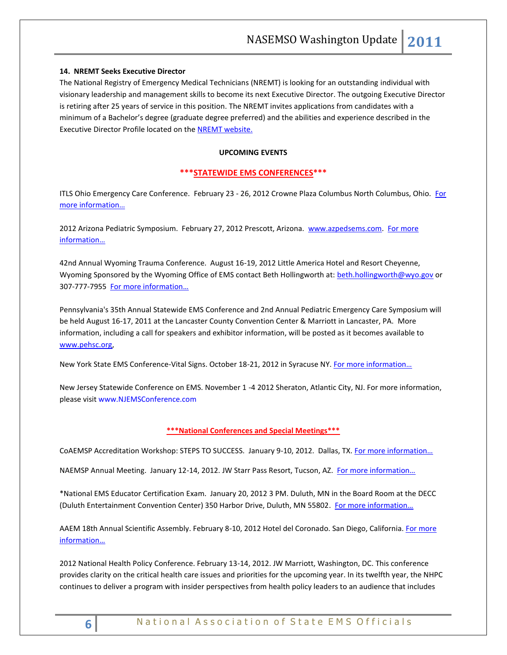### **14. NREMT Seeks Executive Director**

The National Registry of Emergency Medical Technicians (NREMT) is looking for an outstanding individual with visionary leadership and management skills to become its next Executive Director. The outgoing Executive Director is retiring after 25 years of service in this position. The NREMT invites applications from candidates with a minimum of a Bachelor's degree (graduate degree preferred) and the abilities and experience described in the Executive Director Profile located on th[e NREMT website.](http://www.nremt.org/)

#### **UPCOMING EVENTS**

### **\*\*\*STATEWIDE EMS CONFERENCES\*\*\***

ITLS Ohio Emergency Care Conference. February 23 - 26, 2012 Crowne Plaza Columbus North Columbus, Ohio. For [more information…](http://www.publicsafety.ohio.gov/links/MR2011/2012%20ECC%20Brochure%20WEB.pdf)

2012 Arizona Pediatric Symposium. February 27, 2012 Prescott, Arizona. [www.azpedsems.com.](http://www.azpedsems.com/) [For more](http://www.azdhs.gov/bems/pdf/conf/2012PediatricSymposium.pdf)  [information…](http://www.azdhs.gov/bems/pdf/conf/2012PediatricSymposium.pdf)

42nd Annual Wyoming Trauma Conference. August 16-19, 2012 Little America Hotel and Resort Cheyenne, Wyoming Sponsored by the Wyoming Office of EMS contact Beth Hollingworth at: [beth.hollingworth@wyo.gov](mailto:beth.hollingworth@wyo.gov) or 307-777-7955 [For more information…](http://health.wyo.gov/sho/ems/index.html)

Pennsylvania's 35th Annual Statewide EMS Conference and 2nd Annual Pediatric Emergency Care Symposium will be held August 16-17, 2011 at the Lancaster County Convention Center & Marriott in Lancaster, PA. More information, including a call for speakers and exhibitor information, will be posted as it becomes available to [www.pehsc.org,](http://www.pehsc.org/)

New York State EMS Conference-Vital Signs. October 18-21, 2012 in Syracuse NY. F[or more information…](http://www.vitalsignsconference.com/)

New Jersey Statewide Conference on EMS. November 1 -4 2012 Sheraton, Atlantic City, NJ. For more information, please visit www.NJEMSConference.com

#### **\*\*\*National Conferences and Special Meetings\*\*\***

CoAEMSP Accreditation Workshop: STEPS TO SUCCESS. January 9-10, 2012. Dallas, TX. For more information...

NAEMSP Annual Meeting. January 12-14, 2012. JW Starr Pass Resort, Tucson, AZ. For more information...

\*National EMS Educator Certification Exam. January 20, 2012 3 PM. Duluth, MN in the Board Room at the DECC (Duluth Entertainment Convention Center) 350 Harbor Drive, Duluth, MN 55802. For more information...

AAEM 18th Annual Scientific Assembly. February 8-10, 2012 Hotel del Coronado. San Diego, California. [For more](http://www.aaem.org/education/scientificassembly/)  [information…](http://www.aaem.org/education/scientificassembly/)

2012 National Health Policy Conference. February 13-14, 2012. JW Marriott, Washington, DC. This conference provides clarity on the critical health care issues and priorities for the upcoming year. In its twelfth year, the NHPC continues to deliver a program with insider perspectives from health policy leaders to an audience that includes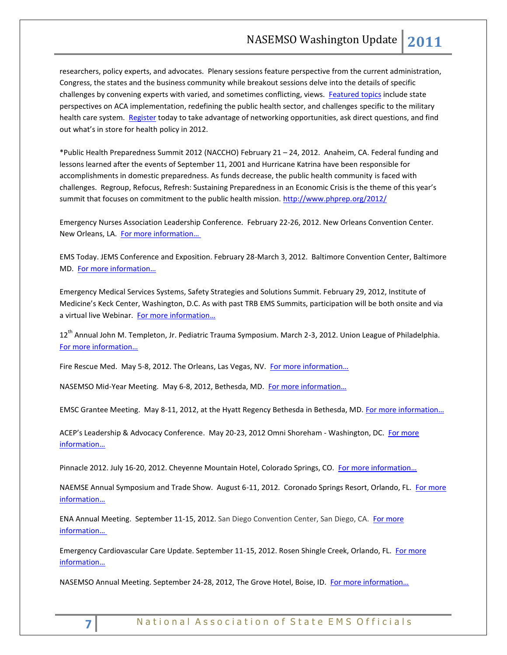researchers, policy experts, and advocates. Plenary sessions feature perspective from the current administration, Congress, the states and the business community while breakout sessions delve into the details of specific challenges by convening experts with varied, and sometimes conflicting, views. [Featured topics](http://www.academyhealth.org/Events/events.cfm?ItemNumber=2568&navItemNumber=2012) include state perspectives on ACA implementation, redefining the public health sector, and challenges specific to the military health care system. [Register](http://academyhealth.org/content.cfm?ItemNumber=1569&navItemNumber=2017) today to take advantage of networking opportunities, ask direct questions, and find out what's in store for health policy in 2012.

\*Public Health Preparedness Summit 2012 (NACCHO) February 21 – 24, 2012. Anaheim, CA. Federal funding and lessons learned after the events of September 11, 2001 and Hurricane Katrina have been responsible for accomplishments in domestic preparedness. As funds decrease, the public health community is faced with challenges. Regroup, Refocus, Refresh: Sustaining Preparedness in an Economic Crisis is the theme of this year's summit that focuses on commitment to the public health mission.<http://www.phprep.org/2012/>

Emergency Nurses Association Leadership Conference. February 22-26, 2012. New Orleans Convention Center. New Orleans, LA. [For more information…](http://www.ena.org/coursesandeducation/conferences/Pages/Default.aspx)

EMS Today. JEMS Conference and Exposition. February 28-March 3, 2012. Baltimore Convention Center, Baltimore MD. [For more information…](http://www.emstoday.com/)

Emergency Medical Services Systems, Safety Strategies and Solutions Summit. February 29, 2012, Institute of Medicine's Keck Center, Washington, D.C. As with past TRB EMS Summits, participation will be both onsite and via a virtual live Webinar. For more information...

12<sup>th</sup> Annual John M. Templeton, Jr. Pediatric Trauma Symposium. March 2-3, 2012. Union League of Philadelphia. [For more information…](http://www.chop.edu/professionals/educational-resources/continuing-medical-education/cme.html)

Fire Rescue Med. May 5-8, 2012. The Orleans, Las Vegas, NV. [For more information…](http://www.iafc.org/frm)

NASEMSO Mid-Year Meeting. May 6-8, 2012, Bethesda, MD. For more information...

EMSC Grantee Meeting. May 8-11, 2012, at the Hyatt Regency Bethesda in Bethesda, MD. For more information...

ACEP's Leadership & Advocacy Conference. May 20-23, 2012 Omni Shoreham - Washington, DC. For more [information…](http://www.acep.org/)

Pinnacle 2012. July 16-20, 2012. Cheyenne Mountain Hotel, Colorado Springs, CO. [For more information…](http://www.pinnacle-ems.com/)

NAEMSE Annual Symposium and Trade Show. August 6-11, 2012. Coronado Springs Resort, Orlando, FL. For more [information…](http://www.naemse.org/symposium)

ENA Annual Meeting. September 11-15, 2012. San Diego Convention Center, San Diego, CA. [For more](http://www.ena.org/coursesandeducation/conferences/Pages/Default.aspx)  [information…](http://www.ena.org/coursesandeducation/conferences/Pages/Default.aspx)

Emergency Cardiovascular Care Update. September 11-15, 2012. Rosen Shingle Creek, Orlando, FL. For more inf[ormation…](http://www.eccu2012.com/)

NASEMSO Annual Meeting. September 24-28, 2012, The Grove Hotel, Boise, ID. For more information...